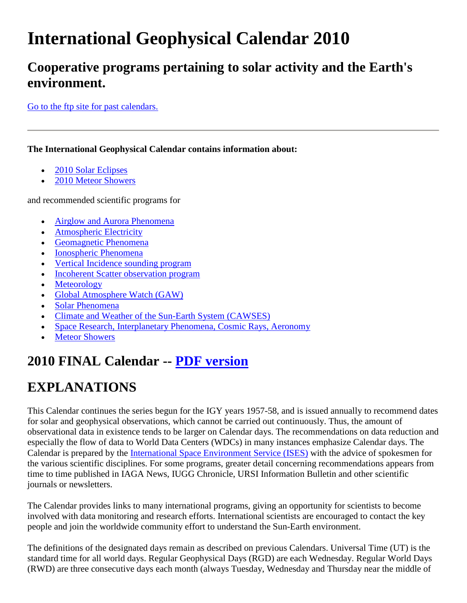# **International Geophysical Calendar 2010**

#### **Cooperative programs pertaining to solar activity and the Earth's environment.**

[Go to the ftp site for past calendars.](http://www.ngdc.noaa.gov/nndc/struts/results?t=102827&s=28&d=8,280,9)

#### **The International Geophysical Calendar contains information about:**

- 2010 Solar Eclipses
- 2010 Meteor Showers

and recommended scientific programs for

- Airglow and Aurora Phenomena
- Atmospheric Electricity
- Geomagnetic Phenomena
- Ionospheric Phenomena
- Vertical Incidence sounding program
- Incoherent Scatter observation program
- **Meteorology**
- Global Atmosphere Watch (GAW)
- Solar Phenomena
- Climate and Weather of the Sun-Earth System (CAWSES)
- Space Research, Interplanetary Phenomena, Cosmic Rays, Aeronomy
- **Meteor Showers**

#### **2010 FINAL Calendar -- [PDF version](ftp://ftp.ngdc.noaa.gov/STP/SOLAR_DATA/CALENDARS/IGC_CALENDAR/2010/igc_calendar_2010.pdf)**

### **EXPLANATIONS**

This Calendar continues the series begun for the IGY years 1957-58, and is issued annually to recommend dates for solar and geophysical observations, which cannot be carried out continuously. Thus, the amount of observational data in existence tends to be larger on Calendar days. The recommendations on data reduction and especially the flow of data to World Data Centers (WDCs) in many instances emphasize Calendar days. The Calendar is prepared by the [International Space Environment](http://www.ises-spaceweather.org/) Service (ISES) with the advice of spokesmen for the various scientific disciplines. For some programs, greater detail concerning recommendations appears from time to time published in IAGA News, IUGG Chronicle, URSI Information Bulletin and other scientific journals or newsletters.

The Calendar provides links to many international programs, giving an opportunity for scientists to become involved with data monitoring and research efforts. International scientists are encouraged to contact the key people and join the worldwide community effort to understand the Sun-Earth environment.

The definitions of the designated days remain as described on previous Calendars. Universal Time (UT) is the standard time for all world days. Regular Geophysical Days (RGD) are each Wednesday. Regular World Days (RWD) are three consecutive days each month (always Tuesday, Wednesday and Thursday near the middle of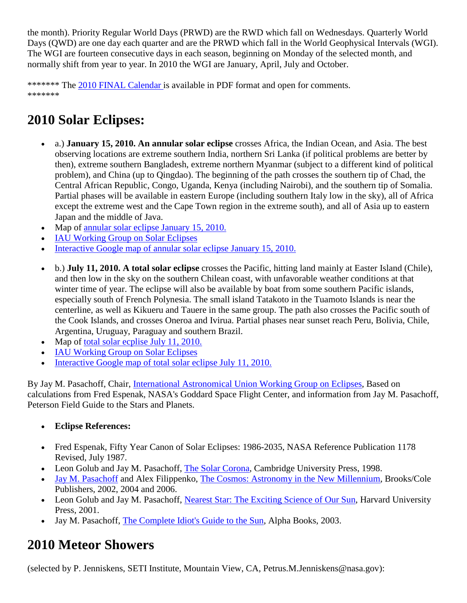the month). Priority Regular World Days (PRWD) are the RWD which fall on Wednesdays. Quarterly World Days (QWD) are one day each quarter and are the PRWD which fall in the World Geophysical Intervals (WGI). The WGI are fourteen consecutive days in each season, beginning on Monday of the selected month, and normally shift from year to year. In 2010 the WGI are January, April, July and October.

\*\*\*\*\*\*\* The [2010 FINAL Calendar i](ftp://ftp.ngdc.noaa.gov/STP/SOLAR_DATA/IGC_CALENDAR/2010Draft/2010cal_DRAFT.pdf)s available in PDF format and open for comments. \*\*\*\*\*\*\*

# **2010 Solar Eclipses:**

- a.) **January 15, 2010. An annular solar eclipse** crosses Africa, the Indian Ocean, and Asia. The best observing locations are extreme southern India, northern Sri Lanka (if political problems are better by then), extreme southern Bangladesh, extreme northern Myanmar (subject to a different kind of political problem), and China (up to Qingdao). The beginning of the path crosses the southern tip of Chad, the Central African Republic, Congo, Uganda, Kenya (including Nairobi), and the southern tip of Somalia. Partial phases will be available in eastern Europe (including southern Italy low in the sky), all of Africa except the extreme west and the Cape Town region in the extreme south), and all of Asia up to eastern Japan and the middle of Java.
- Map of [annular solar eclipse January 15, 2010.](http://eclipse.gsfc.nasa.gov/SEplot/SEplot2001/SE2010Jan15A.GIF)
- [IAU Working Group on Solar Eclipses](http://www.eclipses.info/)
- [Interactive Google map of annular solar eclipse January 15, 2010.](http://xjubier.free.fr/en/site_pages/solar_eclipses/ASE_2010_GoogleMapFull.html)
- b.) **July 11, 2010. A total solar eclipse** crosses the Pacific, hitting land mainly at Easter Island (Chile), and then low in the sky on the southern Chilean coast, with unfavorable weather conditions at that winter time of year. The eclipse will also be available by boat from some southern Pacific islands, especially south of French Polynesia. The small island Tatakoto in the Tuamoto Islands is near the centerline, as well as Kikueru and Tauere in the same group. The path also crosses the Pacific south of the Cook Islands, and crosses Oneroa and Ivirua. Partial phases near sunset reach Peru, Bolivia, Chile, Argentina, Uruguay, Paraguay and southern Brazil.
- Map of total solar ecplise July 11, 2010.
- [IAU Working Group on Solar Eclipses](http://www.eclipses.info/)
- [Interactive Google map of total solar eclipse July 11, 2010.](http://xjubier.free.fr/en/site_pages/solar_eclipses/TSE_2010_GoogleMapFull.html)

By Jay M. Pasachoff, Chair, [International Astronomical Union Working Group on Eclipses,](http://www.eclipses.info/) Based on calculations from Fred Espenak, NASA's Goddard Space Flight Center, and information from Jay M. Pasachoff, Peterson Field Guide to the Stars and Planets.

#### • **Eclipse References:**

- Fred Espenak, Fifty Year Canon of Solar Eclipses: 1986-2035, NASA Reference Publication 1178 Revised, July 1987.
- Leon Golub and Jay M. Pasachoff, [The Solar Corona,](http://www.williams.edu/Astronomy/corona) Cambridge University Press, 1998.
- [Jay M. Pasachoff](http://www.williams.edu/Astronomy/jay) and Alex Filippenko, [The Cosmos: Astronomy in the New Millennium,](http://info.brookscole.com/pasachoff) Brooks/Cole Publishers, 2002, 2004 and 2006.
- Leon Golub and Jay M. Pasachoff, [Nearest Star: The Exciting Science of Our Sun,](http://www.williams.edu/astronomy/neareststar) Harvard University Press, 2001.
- Jay M. Pasachoff, [The Complete Idiot's Guide to the Sun,](http://www.williams.edu/astronomy/sun) Alpha Books, 2003.

### **2010 Meteor Showers**

(selected by P. Jenniskens, SETI Institute, Mountain View, CA, Petrus.M.Jenniskens@nasa.gov):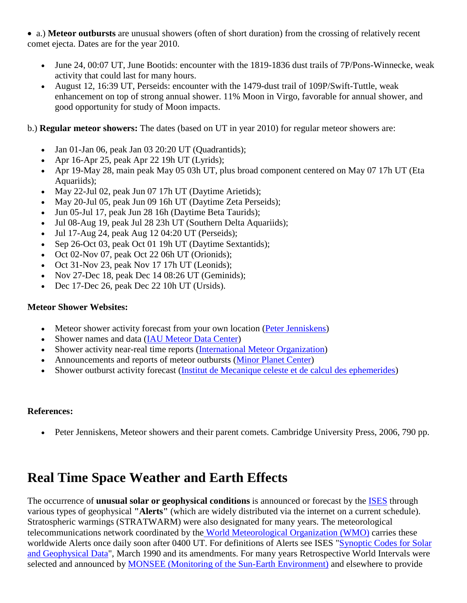• a.) **Meteor outbursts** are unusual showers (often of short duration) from the crossing of relatively recent comet ejecta. Dates are for the year 2010.

- June 24, 00:07 UT, June Bootids: encounter with the 1819-1836 dust trails of 7P/Pons-Winnecke, weak activity that could last for many hours.
- August 12, 16:39 UT, Perseids: encounter with the 1479-dust trail of 109P/Swift-Tuttle, weak enhancement on top of strong annual shower. 11% Moon in Virgo, favorable for annual shower, and good opportunity for study of Moon impacts.

b.) **Regular meteor showers:** The dates (based on UT in year 2010) for regular meteor showers are:

- Jan 01-Jan 06, peak Jan 03 20:20 UT (Quadrantids);
- Apr 16-Apr 25, peak Apr 22 19h UT (Lyrids);
- Apr 19-May 28, main peak May 05 03h UT, plus broad component centered on May 07 17h UT (Eta Aquariids);
- May 22-Jul 02, peak Jun 07 17h UT (Daytime Arietids);
- May 20-Jul 05, peak Jun 09 16h UT (Daytime Zeta Perseids);
- Jun 05-Jul 17, peak Jun 28 16h (Daytime Beta Taurids);
- Jul 08-Aug 19, peak Jul 28 23h UT (Southern Delta Aquariids);
- Jul 17-Aug 24, peak Aug 12 04:20 UT (Perseids);
- Sep 26-Oct 03, peak Oct 01 19h UT (Daytime Sextantids);
- Oct 02-Nov 07, peak Oct 22 06h UT (Orionids);
- Oct 31-Nov 23, peak Nov 17 17h UT (Leonids);
- Nov 27-Dec 18, peak Dec 14 08:26 UT (Geminids);
- Dec 17-Dec 26, peak Dec 22 10h UT (Ursids).

#### **Meteor Shower Websites:**

- Meteor shower activity forecast from your own location [\(Peter Jenniskens\)](http://leonid.arc.nasa.gov/estimator.html)
- Shower names and data [\(IAU Meteor Data Center\)](http://www.astro.amu.edu.pl/~jopek/MDC2007/index.php)
- Shower activity near-real time reports [\(International Meteor Organization\)](http://www.imo.net/)
- Announcements and reports of meteor outbursts [\(Minor Planet Center\)](http://cfa-www.harvard.edu/iau/cbet/RecentCBETs.html)
- Shower outburst activity forecast [\(Institut de Mecanique celeste et de calcul des ephemerides\)](http://www.imcce.fr/page.php?nav=en/ephemerides/phenomenes/meteor/index.php)

#### **References:**

• Peter Jenniskens, Meteor showers and their parent comets. Cambridge University Press, 2006, 790 pp.

#### **Real Time Space Weather and Earth Effects**

The occurrence of **unusual solar or geophysical conditions** is announced or forecast by the [ISES](http://ises-spaceweather.org/) through various types of geophysical **"Alerts"** (which are widely distributed via the internet on a current schedule). Stratospheric warmings (STRATWARM) were also designated for many years. The meteorological telecommunications network coordinated by the [World Meteorological Organization \(WMO\)](http://www.wmo.ch/) carries these worldwide Alerts once daily soon after 0400 UT. For definitions of Alerts see ISES "Synoptic Codes for Solar [and Geophysical Data"](http://ises-spaceweather.org/), March 1990 and its amendments. For many years Retrospective World Intervals were selected and announced by [MONSEE \(Monitoring of the Sun-Earth Environment\)](http://stinet.dtic.mil/oai/oai?verb=getRecord&metadataPrefix=html&identifier=ADA055001) and elsewhere to provide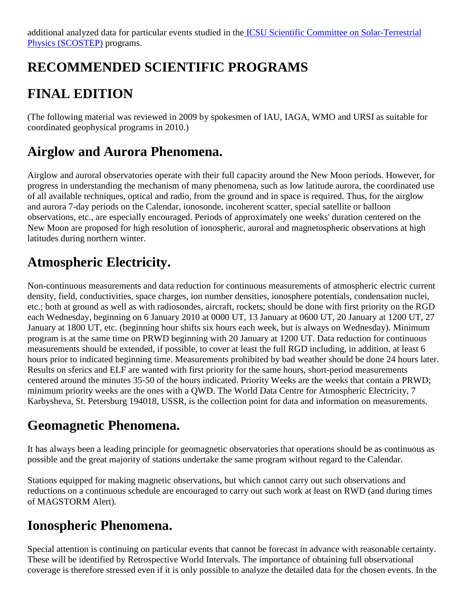# **RECOMMENDED SCIENTIFIC PROGRAMS**

# **FINAL EDITION**

(The following material was reviewed in 2009 by spokesmen of IAU, IAGA, WMO and URSI as suitable for coordinated geophysical programs in 2010.)

### **Airglow and Aurora Phenomena.**

Airglow and auroral observatories operate with their full capacity around the New Moon periods. However, for progress in understanding the mechanism of many phenomena, such as low latitude aurora, the coordinated use of all available techniques, optical and radio, from the ground and in space is required. Thus, for the airglow and aurora 7-day periods on the Calendar, ionosonde, incoherent scatter, special satellite or balloon observations, etc., are especially encouraged. Periods of approximately one weeks' duration centered on the New Moon are proposed for high resolution of ionospheric, auroral and magnetospheric observations at high latitudes during northern winter.

# **Atmospheric Electricity.**

Non-continuous measurements and data reduction for continuous measurements of atmospheric electric current density, field, conductivities, space charges, ion number densities, ionosphere potentials, condensation nuclei, etc.; both at ground as well as with radiosondes, aircraft, rockets; should be done with first priority on the RGD each Wednesday, beginning on 6 January 2010 at 0000 UT, 13 January at 0600 UT, 20 January at 1200 UT, 27 January at 1800 UT, etc. (beginning hour shifts six hours each week, but is always on Wednesday). Minimum program is at the same time on PRWD beginning with 20 January at 1200 UT. Data reduction for continuous measurements should be extended, if possible, to cover at least the full RGD including, in addition, at least 6 hours prior to indicated beginning time. Measurements prohibited by bad weather should be done 24 hours later. Results on sferics and ELF are wanted with first priority for the same hours, short-period measurements centered around the minutes 35-50 of the hours indicated. Priority Weeks are the weeks that contain a PRWD; minimum priority weeks are the ones with a QWD. The World Data Centre for Atmospheric Electricity, 7 Karbysheva, St. Petersburg 194018, USSR, is the collection point for data and information on measurements.

## **Geomagnetic Phenomena.**

It has always been a leading principle for geomagnetic observatories that operations should be as continuous as possible and the great majority of stations undertake the same program without regard to the Calendar.

Stations equipped for making magnetic observations, but which cannot carry out such observations and reductions on a continuous schedule are encouraged to carry out such work at least on RWD (and during times of MAGSTORM Alert).

### **Ionospheric Phenomena.**

Special attention is continuing on particular events that cannot be forecast in advance with reasonable certainty. These will be identified by Retrospective World Intervals. The importance of obtaining full observational coverage is therefore stressed even if it is only possible to analyze the detailed data for the chosen events. In the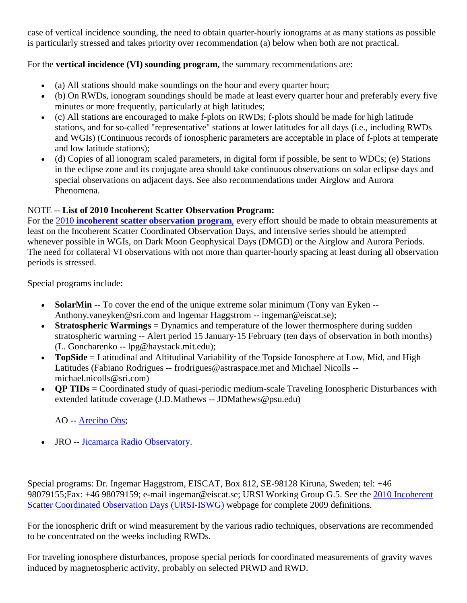case of vertical incidence sounding, the need to obtain quarter-hourly ionograms at as many stations as possible is particularly stressed and takes priority over recommendation (a) below when both are not practical.

For the **vertical incidence (VI) sounding program,** the summary recommendations are:

- (a) All stations should make soundings on the hour and every quarter hour;
- (b) On RWDs, ionogram soundings should be made at least every quarter hour and preferably every five minutes or more frequently, particularly at high latitudes;
- (c) All stations are encouraged to make f-plots on RWDs; f-plots should be made for high latitude stations, and for so-called "representative" stations at lower latitudes for all days (i.e., including RWDs and WGIs) (Continuous records of ionospheric parameters are acceptable in place of f-plots at temperate and low latitude stations);
- (d) Copies of all ionogram scaled parameters, in digital form if possible, be sent to WDCs; (e) Stations in the eclipse zone and its conjugate area should take continuous observations on solar eclipse days and special observations on adjacent days. See also recommendations under Airglow and Aurora Phenomena.

#### NOTE -- **List of 2010 Incoherent Scatter Observation Program:**

For the 2010 **[incoherent scatter observation program](http://e7.eiscat.se/Members/ingemar/skedule/WD2010.htm/view?searchterm=2010%20world%20days)**, every effort should be made to obtain measurements at least on the Incoherent Scatter Coordinated Observation Days, and intensive series should be attempted whenever possible in WGIs, on Dark Moon Geophysical Days (DMGD) or the Airglow and Aurora Periods. The need for collateral VI observations with not more than quarter-hourly spacing at least during all observation periods is stressed.

Special programs include:

- **SolarMin** -- To cover the end of the unique extreme solar minimum (Tony van Eyken --Anthony.vaneyken@sri.com and Ingemar Haggstrom -- ingemar@eiscat.se);
- **Stratospheric Warmings** = Dynamics and temperature of the lower thermosphere during sudden stratospheric warming -- Alert period 15 January-15 February (ten days of observation in both months) (L. Goncharenko -- lpg@haystack.mit.edu);
- **TopSide** = Latitudinal and Altitudinal Variability of the Topside Ionosphere at Low, Mid, and High Latitudes (Fabiano Rodrigues -- frodrigues@astraspace.met and Michael Nicolls -michael.nicolls@sri.com)
- **QP TIDs** = Coordinated study of quasi-periodic medium-scale Traveling Ionospheric Disturbances with extended latitude coverage (J.D.Mathews -- JDMathews@psu.edu)

#### AO -- [Arecibo Obs;](http://www.naic.edu/~isradar/is/ishome.html)

• JRO -- [Jicamarca Radio Observatory.](http://jro.igp.gob.pe/english/radar/operation/real-time_en.php)

Special programs: Dr. Ingemar Haggstrom, EISCAT, Box 812, SE-98128 Kiruna, Sweden; tel: +46 98079155;Fax: +46 98079159; e-mail ingemar@eiscat.se; URSI Working Group G.5. See the [2010 Incoherent](http://e7.eiscat.se/Members/ingemar/skedule/WD2010.htm/view?searchterm=2010%20world%20days)  [Scatter Coordinated Observation Days \(URSI-ISWG\)](http://e7.eiscat.se/Members/ingemar/skedule/WD2010.htm/view?searchterm=2010%20world%20days) webpage for complete 2009 definitions.

For the ionospheric drift or wind measurement by the various radio techniques, observations are recommended to be concentrated on the weeks including RWDs.

For traveling ionosphere disturbances, propose special periods for coordinated measurements of gravity waves induced by magnetospheric activity, probably on selected PRWD and RWD.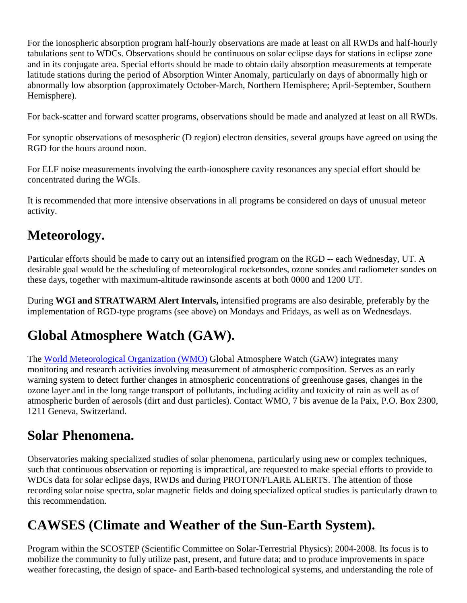For the ionospheric absorption program half-hourly observations are made at least on all RWDs and half-hourly tabulations sent to WDCs. Observations should be continuous on solar eclipse days for stations in eclipse zone and in its conjugate area. Special efforts should be made to obtain daily absorption measurements at temperate latitude stations during the period of Absorption Winter Anomaly, particularly on days of abnormally high or abnormally low absorption (approximately October-March, Northern Hemisphere; April-September, Southern Hemisphere).

For back-scatter and forward scatter programs, observations should be made and analyzed at least on all RWDs.

For synoptic observations of mesospheric (D region) electron densities, several groups have agreed on using the RGD for the hours around noon.

For ELF noise measurements involving the earth-ionosphere cavity resonances any special effort should be concentrated during the WGIs.

It is recommended that more intensive observations in all programs be considered on days of unusual meteor activity.

### **Meteorology.**

Particular efforts should be made to carry out an intensified program on the RGD -- each Wednesday, UT. A desirable goal would be the scheduling of meteorological rocketsondes, ozone sondes and radiometer sondes on these days, together with maximum-altitude rawinsonde ascents at both 0000 and 1200 UT.

During **WGI and STRATWARM Alert Intervals,** intensified programs are also desirable, preferably by the implementation of RGD-type programs (see above) on Mondays and Fridays, as well as on Wednesdays.

## **Global Atmosphere Watch (GAW).**

The [World Meteorological Organization \(WMO\)](http://www.wmo.ch/) Global Atmosphere Watch (GAW) integrates many monitoring and research activities involving measurement of atmospheric composition. Serves as an early warning system to detect further changes in atmospheric concentrations of greenhouse gases, changes in the ozone layer and in the long range transport of pollutants, including acidity and toxicity of rain as well as of atmospheric burden of aerosols (dirt and dust particles). Contact WMO, 7 bis avenue de la Paix, P.O. Box 2300, 1211 Geneva, Switzerland.

### **Solar Phenomena.**

Observatories making specialized studies of solar phenomena, particularly using new or complex techniques, such that continuous observation or reporting is impractical, are requested to make special efforts to provide to WDCs data for solar eclipse days, RWDs and during PROTON/FLARE ALERTS. The attention of those recording solar noise spectra, solar magnetic fields and doing specialized optical studies is particularly drawn to this recommendation.

### **CAWSES (Climate and Weather of the Sun-Earth System).**

Program within the SCOSTEP (Scientific Committee on Solar-Terrestrial Physics): 2004-2008. Its focus is to mobilize the community to fully utilize past, present, and future data; and to produce improvements in space weather forecasting, the design of space- and Earth-based technological systems, and understanding the role of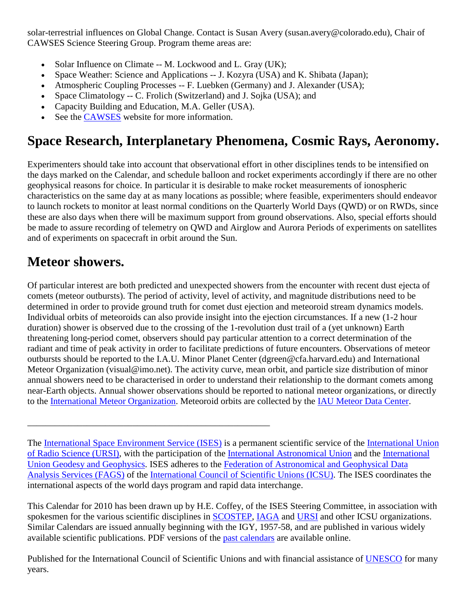solar-terrestrial influences on Global Change. Contact is Susan Avery (susan.avery@colorado.edu), Chair of CAWSES Science Steering Group. Program theme areas are:

- Solar Influence on Climate -- M. Lockwood and L. Gray (UK);
- Space Weather: Science and Applications -- J. Kozyra (USA) and K. Shibata (Japan);
- Atmospheric Coupling Processes -- F. Luebken (Germany) and J. Alexander (USA);
- Space Climatology -- C. Frolich (Switzerland) and J. Sojka (USA); and
- Capacity Building and Education, M.A. Geller (USA).

\_\_\_\_\_\_\_\_\_\_\_\_\_\_\_\_\_\_\_\_\_\_\_\_\_\_\_\_\_\_\_\_\_\_\_\_\_\_\_\_\_\_\_\_\_\_\_\_\_\_\_\_\_

See the **CAWSES** website for more information.

#### **Space Research, Interplanetary Phenomena, Cosmic Rays, Aeronomy.**

Experimenters should take into account that observational effort in other disciplines tends to be intensified on the days marked on the Calendar, and schedule balloon and rocket experiments accordingly if there are no other geophysical reasons for choice. In particular it is desirable to make rocket measurements of ionospheric characteristics on the same day at as many locations as possible; where feasible, experimenters should endeavor to launch rockets to monitor at least normal conditions on the Quarterly World Days (QWD) or on RWDs, since these are also days when there will be maximum support from ground observations. Also, special efforts should be made to assure recording of telemetry on QWD and Airglow and Aurora Periods of experiments on satellites and of experiments on spacecraft in orbit around the Sun.

#### **Meteor showers.**

Of particular interest are both predicted and unexpected showers from the encounter with recent dust ejecta of comets (meteor outbursts). The period of activity, level of activity, and magnitude distributions need to be determined in order to provide ground truth for comet dust ejection and meteoroid stream dynamics models. Individual orbits of meteoroids can also provide insight into the ejection circumstances. If a new (1-2 hour duration) shower is observed due to the crossing of the 1-revolution dust trail of a (yet unknown) Earth threatening long-period comet, observers should pay particular attention to a correct determination of the radiant and time of peak activity in order to facilitate predictions of future encounters. Observations of meteor outbursts should be reported to the I.A.U. Minor Planet Center (dgreen@cfa.harvard.edu) and International Meteor Organization (visual@imo.net). The activity curve, mean orbit, and particle size distribution of minor annual showers need to be characterised in order to understand their relationship to the dormant comets among near-Earth objects. Annual shower observations should be reported to national meteor organizations, or directly to the [International Meteor Organization.](http://www.imo.net/) Meteoroid orbits are collected by the [IAU Meteor Data Center.](http://www.astro.sk/~ne/IAUMDC/Ph2003/)

This Calendar for 2010 has been drawn up by H.E. Coffey, of the ISES Steering Committee, in association with spokesmen for the various scientific disciplines in [SCOSTEP,](http://www.scostep.ucar.edu/) [IAGA](http://www.iugg.org/IAGA/) and [URSI](http://www.ursi.org/) and other ICSU organizations. Similar Calendars are issued annually beginning with the IGY, 1957-58, and are published in various widely available scientific publications. PDF versions of the [past calendars](ftp://ftp.ngdc.noaa.gov/STP/SOLAR_DATA/IGC_CALENDAR) are available online.

Published for the International Council of Scientific Unions and with financial assistance of **UNESCO** for many years.

The [International Space Environment Service \(ISES\)](http://www.ises-spaceweather.org/) is a permanent scientific service of the [International Union](http://www.ursi.org/)  [of Radio Science \(URSI\),](http://www.ursi.org/) with the participation of the [International Astronomical Union](http://www.iau.org/) and the [International](http://www.iugg.org/)  [Union Geodesy and Geophysics.](http://www.iugg.org/) ISES adheres to the [Federation of Astronomical and Geophysical Data](http://www.icsu-fags.org/)  [Analysis Services \(FAGS\)](http://www.icsu-fags.org/) of the [International Council of Scientific Unions \(ICSU\).](http://www.icsu.org/index.php) The ISES coordinates the international aspects of the world days program and rapid data interchange.